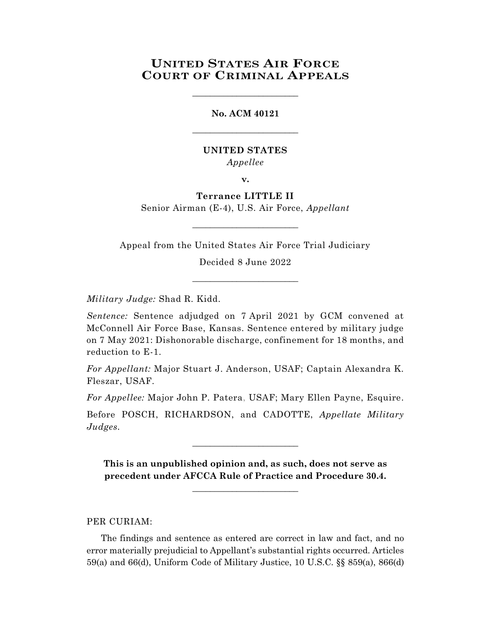## **UNITED STATES AIR FORCE COURT OF CRIMINAL APPEALS**

\_\_\_\_\_\_\_\_\_\_\_\_\_\_\_\_\_\_\_\_\_\_\_\_

## **No. ACM 40121** \_\_\_\_\_\_\_\_\_\_\_\_\_\_\_\_\_\_\_\_\_\_\_\_

## **UNITED STATES** *Appellee*

**v.**

## **Terrance LITTLE II**

Senior Airman (E-4), U.S. Air Force, *Appellant* \_\_\_\_\_\_\_\_\_\_\_\_\_\_\_\_\_\_\_\_\_\_\_\_

Appeal from the United States Air Force Trial Judiciary

Decided 8 June 2022 \_\_\_\_\_\_\_\_\_\_\_\_\_\_\_\_\_\_\_\_\_\_\_\_

*Military Judge:* Shad R. Kidd.

*Sentence:* Sentence adjudged on 7 April 2021 by GCM convened at McConnell Air Force Base, Kansas. Sentence entered by military judge on 7 May 2021: Dishonorable discharge, confinement for 18 months, and reduction to E-1.

*For Appellant:* Major Stuart J. Anderson, USAF; Captain Alexandra K. Fleszar, USAF.

*For Appellee:* Major John P. Patera, USAF; Mary Ellen Payne, Esquire.

Before POSCH, RICHARDSON, and CADOTTE, *Appellate Military Judges.*

\_\_\_\_\_\_\_\_\_\_\_\_\_\_\_\_\_\_\_\_\_\_\_\_

**This is an unpublished opinion and, as such, does not serve as precedent under AFCCA Rule of Practice and Procedure 30.4.**

**\_\_\_\_\_\_\_\_\_\_\_\_\_\_\_\_\_\_\_\_\_\_\_\_**

PER CURIAM:

The findings and sentence as entered are correct in law and fact, and no error materially prejudicial to Appellant's substantial rights occurred. Articles 59(a) and 66(d), Uniform Code of Military Justice, 10 U.S.C. §§ 859(a), 866(d)